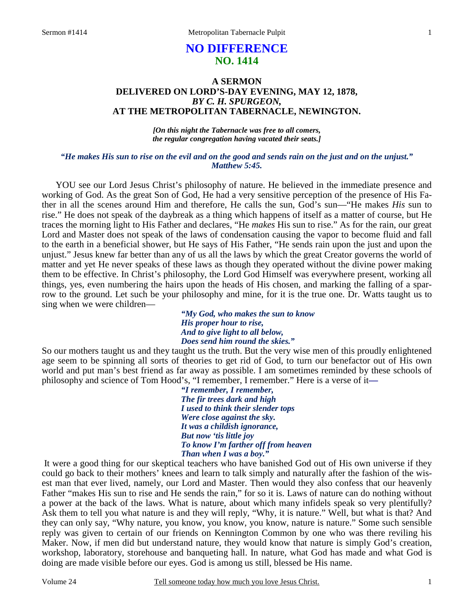# **NO DIFFERENCE NO. 1414**

# **A SERMON DELIVERED ON LORD'S-DAY EVENING, MAY 12, 1878,**  *BY C. H. SPURGEON,*  **AT THE METROPOLITAN TABERNACLE, NEWINGTON.**

*[On this night the Tabernacle was free to all comers, the regular congregation having vacated their seats.]* 

### *"He makes His sun to rise on the evil and on the good and sends rain on the just and on the unjust." Matthew 5:45.*

YOU see our Lord Jesus Christ's philosophy of nature. He believed in the immediate presence and working of God. As the great Son of God, He had a very sensitive perception of the presence of His Father in all the scenes around Him and therefore, He calls the sun, God's sun—"He makes *His* sun to rise." He does not speak of the daybreak as a thing which happens of itself as a matter of course, but He traces the morning light to His Father and declares, "He *makes* His sun to rise." As for the rain, our great Lord and Master does not speak of the laws of condensation causing the vapor to become fluid and fall to the earth in a beneficial shower, but He says of His Father, "He sends rain upon the just and upon the unjust." Jesus knew far better than any of us all the laws by which the great Creator governs the world of matter and yet He never speaks of these laws as though they operated without the divine power making them to be effective. In Christ's philosophy, the Lord God Himself was everywhere present, working all things, yes, even numbering the hairs upon the heads of His chosen, and marking the falling of a sparrow to the ground. Let such be your philosophy and mine, for it is the true one. Dr. Watts taught us to sing when we were children—

> *"My God, who makes the sun to know His proper hour to rise, And to give light to all below, Does send him round the skies."*

So our mothers taught us and they taught us the truth. But the very wise men of this proudly enlightened age seem to be spinning all sorts of theories to get rid of God, to turn our benefactor out of His own world and put man's best friend as far away as possible. I am sometimes reminded by these schools of philosophy and science of Tom Hood's, "I remember, I remember." Here is a verse of it*—*

> *"I remember, I remember, The fir trees dark and high I used to think their slender tops Were close against the sky. It was a childish ignorance, But now 'tis little joy To know I'm farther off from heaven Than when I was a boy."*

It were a good thing for our skeptical teachers who have banished God out of His own universe if they could go back to their mothers' knees and learn to talk simply and naturally after the fashion of the wisest man that ever lived, namely, our Lord and Master. Then would they also confess that our heavenly Father "makes His sun to rise and He sends the rain," for so it is. Laws of nature can do nothing without a power at the back of the laws. What is nature, about which many infidels speak so very plentifully? Ask them to tell you what nature is and they will reply, "Why, it is nature." Well, but what is that? And they can only say, "Why nature, you know, you know, you know, nature is nature." Some such sensible reply was given to certain of our friends on Kennington Common by one who was there reviling his Maker. Now, if men did but understand nature, they would know that nature is simply God's creation, workshop, laboratory, storehouse and banqueting hall. In nature, what God has made and what God is doing are made visible before our eyes. God is among us still, blessed be His name.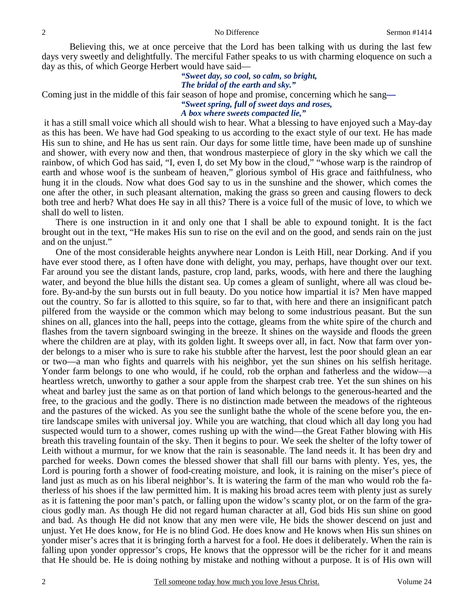Believing this, we at once perceive that the Lord has been talking with us during the last few days very sweetly and delightfully. The merciful Father speaks to us with charming eloquence on such a day as this, of which George Herbert would have said—

#### *"Sweet day, so cool, so calm, so bright, The bridal of the earth and sky."*

Coming just in the middle of this fair season of hope and promise, concerning which he sang*—* 

*"Sweet spring, full of sweet days and roses,* 

#### *A box where sweets compacted lie,"*

it has a still small voice which all should wish to hear. What a blessing to have enjoyed such a May-day as this has been. We have had God speaking to us according to the exact style of our text. He has made His sun to shine, and He has us sent rain. Our days for some little time, have been made up of sunshine and shower, with every now and then, that wondrous masterpiece of glory in the sky which we call the rainbow, of which God has said, "I, even I, do set My bow in the cloud," "whose warp is the raindrop of earth and whose woof is the sunbeam of heaven," glorious symbol of His grace and faithfulness, who hung it in the clouds. Now what does God say to us in the sunshine and the shower, which comes the one after the other, in such pleasant alternation, making the grass so green and causing flowers to deck both tree and herb? What does He say in all this? There is a voice full of the music of love, to which we shall do well to listen.

There is one instruction in it and only one that I shall be able to expound tonight. It is the fact brought out in the text, "He makes His sun to rise on the evil and on the good, and sends rain on the just and on the unjust."

One of the most considerable heights anywhere near London is Leith Hill, near Dorking. And if you have ever stood there, as I often have done with delight, you may, perhaps, have thought over our text. Far around you see the distant lands, pasture, crop land, parks, woods, with here and there the laughing water, and beyond the blue hills the distant sea. Up comes a gleam of sunlight, where all was cloud before. By-and-by the sun bursts out in full beauty. Do you notice how impartial it is? Men have mapped out the country. So far is allotted to this squire, so far to that, with here and there an insignificant patch pilfered from the wayside or the common which may belong to some industrious peasant. But the sun shines on all, glances into the hall, peeps into the cottage, gleams from the white spire of the church and flashes from the tavern signboard swinging in the breeze. It shines on the wayside and floods the green where the children are at play, with its golden light. It sweeps over all, in fact. Now that farm over yonder belongs to a miser who is sure to rake his stubble after the harvest, lest the poor should glean an ear or two—a man who fights and quarrels with his neighbor, yet the sun shines on his selfish heritage. Yonder farm belongs to one who would, if he could, rob the orphan and fatherless and the widow—a heartless wretch, unworthy to gather a sour apple from the sharpest crab tree. Yet the sun shines on his wheat and barley just the same as on that portion of land which belongs to the generous-hearted and the free, to the gracious and the godly. There is no distinction made between the meadows of the righteous and the pastures of the wicked. As you see the sunlight bathe the whole of the scene before you, the entire landscape smiles with universal joy. While you are watching, that cloud which all day long you had suspected would turn to a shower, comes rushing up with the wind—the Great Father blowing with His breath this traveling fountain of the sky. Then it begins to pour. We seek the shelter of the lofty tower of Leith without a murmur, for we know that the rain is seasonable. The land needs it. It has been dry and parched for weeks. Down comes the blessed shower that shall fill our barns with plenty. Yes, yes, the Lord is pouring forth a shower of food-creating moisture, and look, it is raining on the miser's piece of land just as much as on his liberal neighbor's. It is watering the farm of the man who would rob the fatherless of his shoes if the law permitted him. It is making his broad acres teem with plenty just as surely as it is fattening the poor man's patch, or falling upon the widow's scanty plot, or on the farm of the gracious godly man. As though He did not regard human character at all, God bids His sun shine on good and bad. As though He did not know that any men were vile, He bids the shower descend on just and unjust. Yet He does know, for He is no blind God. He does know and He knows when His sun shines on yonder miser's acres that it is bringing forth a harvest for a fool. He does it deliberately. When the rain is falling upon yonder oppressor's crops, He knows that the oppressor will be the richer for it and means that He should be. He is doing nothing by mistake and nothing without a purpose. It is of His own will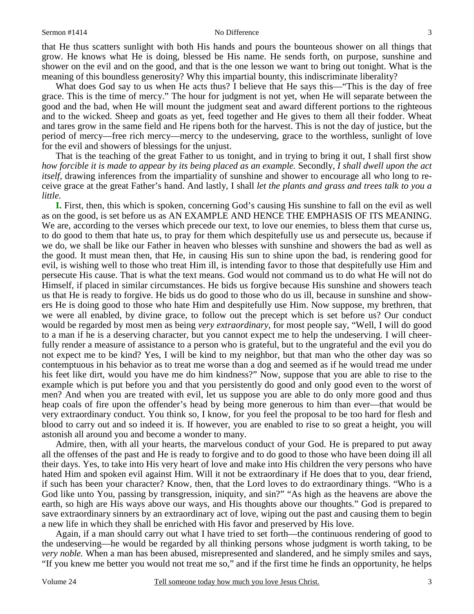that He thus scatters sunlight with both His hands and pours the bounteous shower on all things that grow. He knows what He is doing, blessed be His name. He sends forth, on purpose, sunshine and shower on the evil and on the good, and that is the one lesson we want to bring out tonight. What is the meaning of this boundless generosity? Why this impartial bounty, this indiscriminate liberality?

What does God say to us when He acts thus? I believe that He says this—"This is the day of free grace. This is the time of mercy." The hour for judgment is not yet, when He will separate between the good and the bad, when He will mount the judgment seat and award different portions to the righteous and to the wicked. Sheep and goats as yet, feed together and He gives to them all their fodder. Wheat and tares grow in the same field and He ripens both for the harvest. This is not the day of justice, but the period of mercy—free rich mercy—mercy to the undeserving, grace to the worthless, sunlight of love for the evil and showers of blessings for the unjust.

That is the teaching of the great Father to us tonight, and in trying to bring it out, I shall first show *how forcible it is made to appear by its being placed as an example.* Secondly, *I shall dwell upon the act itself,* drawing inferences from the impartiality of sunshine and shower to encourage all who long to receive grace at the great Father's hand. And lastly, I shall *let the plants and grass and trees talk to you a little.* 

**I.** First, then, this which is spoken, concerning God's causing His sunshine to fall on the evil as well as on the good, is set before us as AN EXAMPLE AND HENCE THE EMPHASIS OF ITS MEANING. We are, according to the verses which precede our text, to love our enemies, to bless them that curse us, to do good to them that hate us, to pray for them which despitefully use us and persecute us, because if we do, we shall be like our Father in heaven who blesses with sunshine and showers the bad as well as the good. It must mean then, that He, in causing His sun to shine upon the bad, is rendering good for evil, is wishing well to those who treat Him ill, is intending favor to those that despitefully use Him and persecute His cause. That is what the text means. God would not command us to do what He will not do Himself, if placed in similar circumstances. He bids us forgive because His sunshine and showers teach us that He is ready to forgive. He bids us do good to those who do us ill, because in sunshine and showers He is doing good to those who hate Him and despitefully use Him. Now suppose, my brethren, that we were all enabled, by divine grace, to follow out the precept which is set before us? Our conduct would be regarded by most men as being *very extraordinary*, for most people say, "Well, I will do good to a man if he is a deserving character, but you cannot expect me to help the undeserving. I will cheerfully render a measure of assistance to a person who is grateful, but to the ungrateful and the evil you do not expect me to be kind? Yes, I will be kind to my neighbor, but that man who the other day was so contemptuous in his behavior as to treat me worse than a dog and seemed as if he would tread me under his feet like dirt, would you have me do him kindness?" Now, suppose that you are able to rise to the example which is put before you and that you persistently do good and only good even to the worst of men? And when you are treated with evil, let us suppose you are able to do only more good and thus heap coals of fire upon the offender's head by being more generous to him than ever—that would be very extraordinary conduct. You think so, I know, for you feel the proposal to be too hard for flesh and blood to carry out and so indeed it is. If however, you are enabled to rise to so great a height, you will astonish all around you and become a wonder to many.

Admire, then, with all your hearts, the marvelous conduct of your God. He is prepared to put away all the offenses of the past and He is ready to forgive and to do good to those who have been doing ill all their days. Yes, to take into His very heart of love and make into His children the very persons who have hated Him and spoken evil against Him. Will it not be extraordinary if He does that to you, dear friend, if such has been your character? Know, then, that the Lord loves to do extraordinary things. "Who is a God like unto You, passing by transgression, iniquity, and sin?" "As high as the heavens are above the earth, so high are His ways above our ways, and His thoughts above our thoughts." God is prepared to save extraordinary sinners by an extraordinary act of love, wiping out the past and causing them to begin a new life in which they shall be enriched with His favor and preserved by His love.

Again, if a man should carry out what I have tried to set forth—the continuous rendering of good to the undeserving—he would be regarded by all thinking persons whose judgment is worth taking, to be *very noble.* When a man has been abused, misrepresented and slandered, and he simply smiles and says, "If you knew me better you would not treat me so," and if the first time he finds an opportunity, he helps

3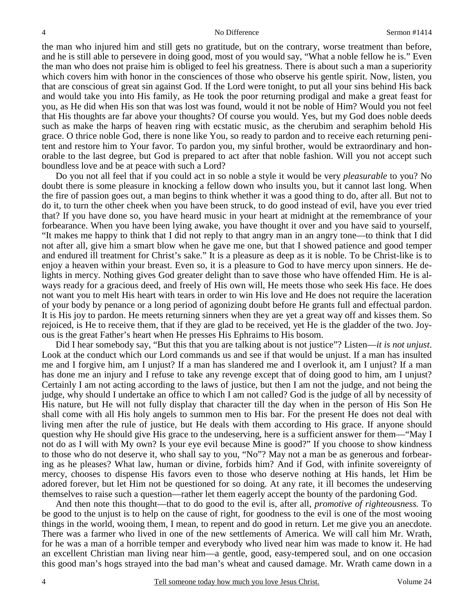the man who injured him and still gets no gratitude, but on the contrary, worse treatment than before, and he is still able to persevere in doing good, most of you would say, "What a noble fellow he is." Even the man who does not praise him is obliged to feel his greatness. There is about such a man a superiority which covers him with honor in the consciences of those who observe his gentle spirit. Now, listen, you that are conscious of great sin against God. If the Lord were tonight, to put all your sins behind His back and would take you into His family, as He took the poor returning prodigal and make a great feast for you, as He did when His son that was lost was found, would it not be noble of Him? Would you not feel that His thoughts are far above your thoughts? Of course you would. Yes, but my God does noble deeds such as make the harps of heaven ring with ecstatic music, as the cherubim and seraphim behold His grace. O thrice noble God, there is none like You, so ready to pardon and to receive each returning penitent and restore him to Your favor. To pardon you, my sinful brother, would be extraordinary and honorable to the last degree, but God is prepared to act after that noble fashion. Will you not accept such boundless love and be at peace with such a Lord?

Do you not all feel that if you could act in so noble a style it would be very *pleasurable* to you? No doubt there is some pleasure in knocking a fellow down who insults you, but it cannot last long. When the fire of passion goes out, a man begins to think whether it was a good thing to do, after all. But not to do it, to turn the other cheek when you have been struck, to do good instead of evil, have you ever tried that? If you have done so, you have heard music in your heart at midnight at the remembrance of your forbearance. When you have been lying awake, you have thought it over and you have said to yourself, "It makes me happy to think that I did not reply to that angry man in an angry tone—to think that I did not after all, give him a smart blow when he gave me one, but that I showed patience and good temper and endured ill treatment for Christ's sake." It is a pleasure as deep as it is noble. To be Christ-like is to enjoy a heaven within your breast. Even so, it is a pleasure to God to have mercy upon sinners. He delights in mercy. Nothing gives God greater delight than to save those who have offended Him. He is always ready for a gracious deed, and freely of His own will, He meets those who seek His face. He does not want you to melt His heart with tears in order to win His love and He does not require the laceration of your body by penance or a long period of agonizing doubt before He grants full and effectual pardon. It is His joy to pardon. He meets returning sinners when they are yet a great way off and kisses them. So rejoiced, is He to receive them, that if they are glad to be received, yet He is the gladder of the two. Joyous is the great Father's heart when He presses His Ephraims to His bosom.

Did I hear somebody say, "But this that you are talking about is not justice"? Listen—*it is not unjust*. Look at the conduct which our Lord commands us and see if that would be unjust. If a man has insulted me and I forgive him, am I unjust? If a man has slandered me and I overlook it, am I unjust? If a man has done me an injury and I refuse to take any revenge except that of doing good to him, am I unjust? Certainly I am not acting according to the laws of justice, but then I am not the judge, and not being the judge, why should I undertake an office to which I am not called? God is the judge of all by necessity of His nature, but He will not fully display that character till the day when in the person of His Son He shall come with all His holy angels to summon men to His bar. For the present He does not deal with living men after the rule of justice, but He deals with them according to His grace. If anyone should question why He should give His grace to the undeserving, here is a sufficient answer for them—"May I not do as I will with My own? Is your eye evil because Mine is good?" If you choose to show kindness to those who do not deserve it, who shall say to you, "No"? May not a man be as generous and forbearing as he pleases? What law, human or divine, forbids him? And if God, with infinite sovereignty of mercy, chooses to dispense His favors even to those who deserve nothing at His hands, let Him be adored forever, but let Him not be questioned for so doing. At any rate, it ill becomes the undeserving themselves to raise such a question—rather let them eagerly accept the bounty of the pardoning God.

And then note this thought—that to do good to the evil is, after all, *promotive of righteousness.* To be good to the unjust is to help on the cause of right, for goodness to the evil is one of the most wooing things in the world, wooing them, I mean, to repent and do good in return. Let me give you an anecdote. There was a farmer who lived in one of the new settlements of America. We will call him Mr. Wrath, for he was a man of a horrible temper and everybody who lived near him was made to know it. He had an excellent Christian man living near him—a gentle, good, easy-tempered soul, and on one occasion this good man's hogs strayed into the bad man's wheat and caused damage. Mr. Wrath came down in a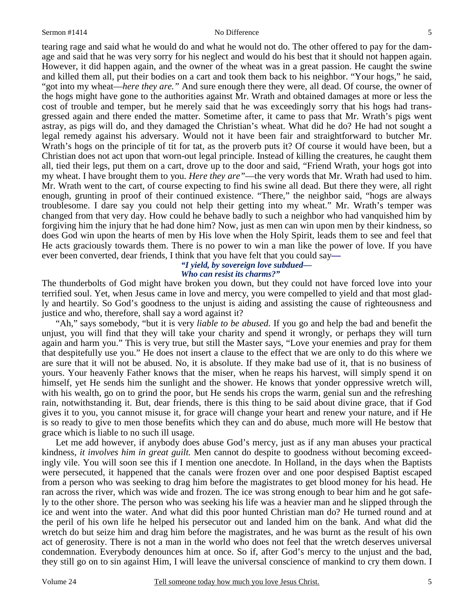tearing rage and said what he would do and what he would not do. The other offered to pay for the damage and said that he was very sorry for his neglect and would do his best that it should not happen again. However, it did happen again, and the owner of the wheat was in a great passion. He caught the swine and killed them all, put their bodies on a cart and took them back to his neighbor. "Your hogs," he said, "got into my wheat—*here they are."* And sure enough there they were, all dead. Of course, the owner of the hogs might have gone to the authorities against Mr. Wrath and obtained damages at more or less the cost of trouble and temper, but he merely said that he was exceedingly sorry that his hogs had transgressed again and there ended the matter. Sometime after, it came to pass that Mr. Wrath's pigs went astray, as pigs will do, and they damaged the Christian's wheat. What did he do? He had not sought a legal remedy against his adversary. Would not it have been fair and straightforward to butcher Mr. Wrath's hogs on the principle of tit for tat, as the proverb puts it? Of course it would have been, but a Christian does not act upon that worn-out legal principle. Instead of killing the creatures, he caught them all, tied their legs, put them on a cart, drove up to the door and said, "Friend Wrath, your hogs got into my wheat. I have brought them to you. *Here they are"*—the very words that Mr. Wrath had used to him. Mr. Wrath went to the cart, of course expecting to find his swine all dead. But there they were, all right enough, grunting in proof of their continued existence. "There," the neighbor said, "hogs are always troublesome. I dare say you could not help their getting into my wheat." Mr. Wrath's temper was changed from that very day. How could he behave badly to such a neighbor who had vanquished him by forgiving him the injury that he had done him? Now, just as men can win upon men by their kindness, so does God win upon the hearts of men by His love when the Holy Spirit, leads them to see and feel that He acts graciously towards them. There is no power to win a man like the power of love. If you have ever been converted, dear friends, I think that you have felt that you could say*—*

### *"I yield, by sovereign love subdued— Who can resist its charms?"*

The thunderbolts of God might have broken you down, but they could not have forced love into your terrified soul. Yet, when Jesus came in love and mercy, you were compelled to yield and that most gladly and heartily. So God's goodness to the unjust is aiding and assisting the cause of righteousness and justice and who, therefore, shall say a word against it?

"Ah," says somebody, "but it is very *liable to be abused.* If you go and help the bad and benefit the unjust, you will find that they will take your charity and spend it wrongly, or perhaps they will turn again and harm you." This is very true, but still the Master says, "Love your enemies and pray for them that despitefully use you." He does not insert a clause to the effect that we are only to do this where we are sure that it will not be abused. No, it is absolute. If they make bad use of it, that is no business of yours. Your heavenly Father knows that the miser, when he reaps his harvest, will simply spend it on himself, yet He sends him the sunlight and the shower. He knows that yonder oppressive wretch will, with his wealth, go on to grind the poor, but He sends his crops the warm, genial sun and the refreshing rain, notwithstanding it. But, dear friends, there is this thing to be said about divine grace, that if God gives it to you, you cannot misuse it, for grace will change your heart and renew your nature, and if He is so ready to give to men those benefits which they can and do abuse, much more will He bestow that grace which is liable to no such ill usage.

Let me add however, if anybody does abuse God's mercy, just as if any man abuses your practical kindness, *it involves him in great guilt.* Men cannot do despite to goodness without becoming exceedingly vile. You will soon see this if I mention one anecdote. In Holland, in the days when the Baptists were persecuted, it happened that the canals were frozen over and one poor despised Baptist escaped from a person who was seeking to drag him before the magistrates to get blood money for his head. He ran across the river, which was wide and frozen. The ice was strong enough to bear him and he got safely to the other shore. The person who was seeking his life was a heavier man and he slipped through the ice and went into the water. And what did this poor hunted Christian man do? He turned round and at the peril of his own life he helped his persecutor out and landed him on the bank. And what did the wretch do but seize him and drag him before the magistrates, and he was burnt as the result of his own act of generosity. There is not a man in the world who does not feel that the wretch deserves universal condemnation. Everybody denounces him at once. So if, after God's mercy to the unjust and the bad, they still go on to sin against Him, I will leave the universal conscience of mankind to cry them down. I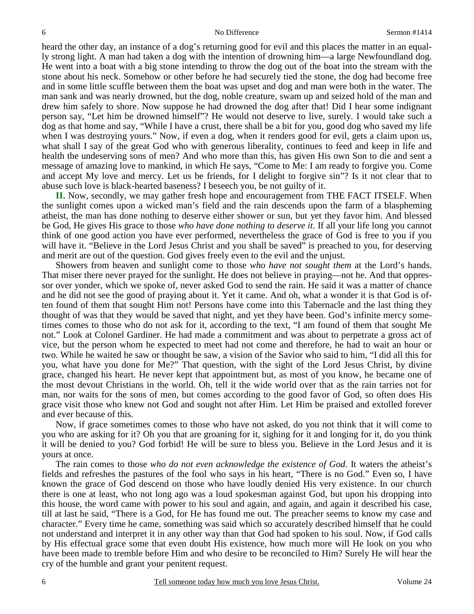heard the other day, an instance of a dog's returning good for evil and this places the matter in an equally strong light. A man had taken a dog with the intention of drowning him—a large Newfoundland dog. He went into a boat with a big stone intending to throw the dog out of the boat into the stream with the stone about his neck. Somehow or other before he had securely tied the stone, the dog had become free and in some little scuffle between them the boat was upset and dog and man were both in the water. The man sank and was nearly drowned, but the dog, noble creature, swam up and seized hold of the man and drew him safely to shore. Now suppose he had drowned the dog after that! Did I hear some indignant person say, "Let him be drowned himself"? He would not deserve to live, surely. I would take such a dog as that home and say, "While I have a crust, there shall be a bit for you, good dog who saved my life when I was destroying yours." Now, if even a dog, when it renders good for evil, gets a claim upon us, what shall I say of the great God who with generous liberality, continues to feed and keep in life and health the undeserving sons of men? And who more than this, has given His own Son to die and sent a message of amazing love to mankind, in which He says, "Come to Me: I am ready to forgive you. Come and accept My love and mercy. Let us be friends, for I delight to forgive sin"? Is it not clear that to abuse such love is black-hearted baseness? I beseech you, be not guilty of it.

**II.** Now, secondly, we may gather fresh hope and encouragement from THE FACT ITSELF. When the sunlight comes upon a wicked man's field and the rain descends upon the farm of a blaspheming atheist, the man has done nothing to deserve either shower or sun, but yet they favor him. And blessed be God, He gives His grace to those *who have done nothing to deserve it*. If all your life long you cannot think of one good action you have ever performed, nevertheless the grace of God is free to you if you will have it. "Believe in the Lord Jesus Christ and you shall be saved" is preached to you, for deserving and merit are out of the question. God gives freely even to the evil and the unjust.

Showers from heaven and sunlight come to those *who have not sought them* at the Lord's hands. That miser there never prayed for the sunlight. He does not believe in praying—not he. And that oppressor over yonder, which we spoke of, never asked God to send the rain. He said it was a matter of chance and he did not see the good of praying about it. Yet it came. And oh, what a wonder it is that God is often found of them that sought Him not! Persons have come into this Tabernacle and the last thing they thought of was that they would be saved that night, and yet they have been. God's infinite mercy sometimes comes to those who do not ask for it, according to the text, "I am found of them that sought Me not." Look at Colonel Gardiner. He had made a commitment and was about to perpetrate a gross act of vice, but the person whom he expected to meet had not come and therefore, he had to wait an hour or two. While he waited he saw or thought he saw, a vision of the Savior who said to him, "I did all this for you, what have you done for Me?" That question, with the sight of the Lord Jesus Christ, by divine grace, changed his heart. He never kept that appointment but, as most of you know, he became one of the most devout Christians in the world. Oh, tell it the wide world over that as the rain tarries not for man, nor waits for the sons of men, but comes according to the good favor of God, so often does His grace visit those who knew not God and sought not after Him. Let Him be praised and extolled forever and ever because of this.

Now, if grace sometimes comes to those who have not asked, do you not think that it will come to you who are asking for it? Oh you that are groaning for it, sighing for it and longing for it, do you think it will be denied to you? God forbid! He will be sure to bless you. Believe in the Lord Jesus and it is yours at once.

The rain comes to those *who do not even acknowledge the existence of God.* It waters the atheist's fields and refreshes the pastures of the fool who says in his heart, "There is no God." Even so, I have known the grace of God descend on those who have loudly denied His very existence. In our church there is one at least, who not long ago was a loud spokesman against God, but upon his dropping into this house, the word came with power to his soul and again, and again, and again it described his case, till at last he said, "There is a God, for He has found me out. The preacher seems to know my case and character." Every time he came, something was said which so accurately described himself that he could not understand and interpret it in any other way than that God had spoken to his soul. Now, if God calls by His effectual grace some that even doubt His existence, how much more will He look on you who have been made to tremble before Him and who desire to be reconciled to Him? Surely He will hear the cry of the humble and grant your penitent request.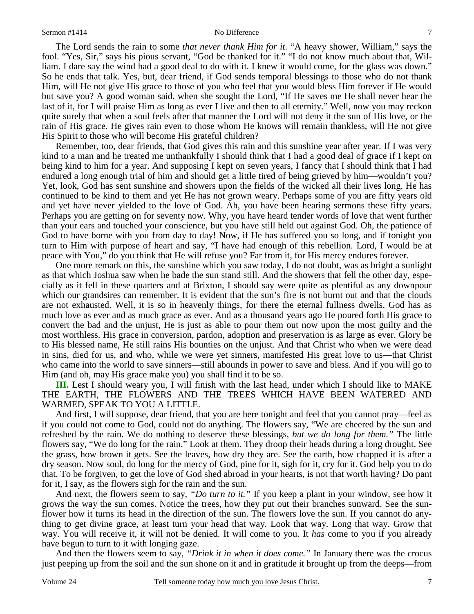The Lord sends the rain to some *that never thank Him for it*. "A heavy shower, William," says the fool. "Yes, Sir," says his pious servant, "God be thanked for it." "I do not know much about that, William. I dare say the wind had a good deal to do with it. I knew it would come, for the glass was down." So he ends that talk. Yes, but, dear friend, if God sends temporal blessings to those who do not thank Him, will He not give His grace to those of you who feel that you would bless Him forever if He would but save you? A good woman said, when she sought the Lord, "If He saves me He shall never hear the last of it, for I will praise Him as long as ever I live and then to all eternity." Well, now you may reckon quite surely that when a soul feels after that manner the Lord will not deny it the sun of His love, or the rain of His grace. He gives rain even to those whom He knows will remain thankless, will He not give His Spirit to those who will become His grateful children?

Remember, too, dear friends, that God gives this rain and this sunshine year after year. If I was very kind to a man and he treated me unthankfully I should think that I had a good deal of grace if I kept on being kind to him for a year. And supposing I kept on seven years, I fancy that I should think that I had endured a long enough trial of him and should get a little tired of being grieved by him—wouldn't you? Yet, look, God has sent sunshine and showers upon the fields of the wicked all their lives long. He has continued to be kind to them and yet He has not grown weary. Perhaps some of you are fifty years old and yet have never yielded to the love of God. Ah, you have been hearing sermons these fifty years. Perhaps you are getting on for seventy now. Why, you have heard tender words of love that went further than your ears and touched your conscience, but you have still held out against God. Oh, the patience of God to have borne with you from day to day! Now, if He has suffered you so long, and if tonight you turn to Him with purpose of heart and say, "I have had enough of this rebellion. Lord, I would be at peace with You," do you think that He will refuse you? Far from it, for His mercy endures forever.

One more remark on this, the sunshine which you saw today, I do not doubt, was as bright a sunlight as that which Joshua saw when he bade the sun stand still. And the showers that fell the other day, especially as it fell in these quarters and at Brixton, I should say were quite as plentiful as any downpour which our grandsires can remember. It is evident that the sun's fire is not burnt out and that the clouds are not exhausted. Well, it is so in heavenly things, for there the eternal fullness dwells. God has as much love as ever and as much grace as ever. And as a thousand years ago He poured forth His grace to convert the bad and the unjust, He is just as able to pour them out now upon the most guilty and the most worthless. His grace in conversion, pardon, adoption and preservation is as large as ever. Glory be to His blessed name, He still rains His bounties on the unjust. And that Christ who when we were dead in sins, died for us, and who, while we were yet sinners, manifested His great love to us—that Christ who came into the world to save sinners—still abounds in power to save and bless. And if you will go to Him (and oh, may His grace make you) you shall find it to be so.

**III.** Lest I should weary you, I will finish with the last head, under which I should like to MAKE THE EARTH, THE FLOWERS AND THE TREES WHICH HAVE BEEN WATERED AND WARMED, SPEAK TO YOU A LITTLE.

And first, I will suppose, dear friend, that you are here tonight and feel that you cannot pray—feel as if you could not come to God, could not do anything. The flowers say, "We are cheered by the sun and refreshed by the rain. We do nothing to deserve these blessings, *but we do long for them."* The little flowers say, "We do long for the rain." Look at them. They droop their heads during a long drought. See the grass, how brown it gets. See the leaves, how dry they are. See the earth, how chapped it is after a dry season. Now soul, do long for the mercy of God, pine for it, sigh for it, cry for it. God help you to do that. To be forgiven, to get the love of God shed abroad in your hearts, is not that worth having? Do pant for it, I say, as the flowers sigh for the rain and the sun.

And next, the flowers seem to say, *"Do turn to it."* If you keep a plant in your window, see how it grows the way the sun comes. Notice the trees, how they put out their branches sunward. See the sunflower how it turns its head in the direction of the sun. The flowers love the sun. If you cannot do anything to get divine grace, at least turn your head that way. Look that way. Long that way. Grow that way. You will receive it, it will not be denied. It will come to you. It *has* come to you if you already have begun to turn to it with longing gaze.

And then the flowers seem to say, *"Drink it in when it does come."* In January there was the crocus just peeping up from the soil and the sun shone on it and in gratitude it brought up from the deeps—from